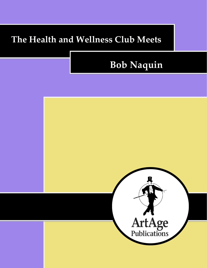## **The Health and Wellness Club Meets**

# **Bob Naquin**

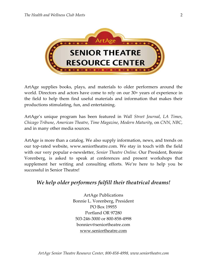

ArtAge supplies books, plays, and materials to older performers around the world. Directors and actors have come to rely on our 30+ years of experience in the field to help them find useful materials and information that makes their productions stimulating, fun, and entertaining.

ArtAge's unique program has been featured in *Wall Street Journal*, *LA Times*, *Chicago Tribune*, *American Theatre*, *Time Magazine*, *Modern Maturity*, on *CNN*, *NBC*, and in many other media sources.

ArtAge is more than a catalog. We also supply information, news, and trends on our top-rated website, www.seniortheatre.com. We stay in touch with the field with our very popular e-newsletter, *Senior Theatre Online*. Our President, Bonnie Vorenberg, is asked to speak at conferences and present workshops that supplement her writing and consulting efforts. We're here to help you be successful in Senior Theatre!

## *We help older performers fulfill their theatrical dreams!*

ArtAge Publications Bonnie L. Vorenberg, President PO Box 19955 Portland OR 97280 503-246-3000 or 800-858-4998 bonniev@seniortheatre.com www.seniortheatre.com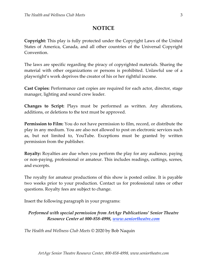## **NOTICE**

**Copyright:** This play is fully protected under the Copyright Laws of the United States of America, Canada, and all other countries of the Universal Copyright Convention.

The laws are specific regarding the piracy of copyrighted materials. Sharing the material with other organizations or persons is prohibited. Unlawful use of a playwright's work deprives the creator of his or her rightful income.

**Cast Copies:** Performance cast copies are required for each actor, director, stage manager, lighting and sound crew leader.

**Changes to Script:** Plays must be performed as written. Any alterations, additions, or deletions to the text must be approved.

**Permission to Film:** You do not have permission to film, record, or distribute the play in any medium. You are also not allowed to post on electronic services such as, but not limited to, YouTube. Exceptions must be granted by written permission from the publisher.

**Royalty:** Royalties are due when you perform the play for any audience, paying or non-paying, professional or amateur. This includes readings, cuttings, scenes, and excerpts.

The royalty for amateur productions of this show is posted online. It is payable two weeks prior to your production. Contact us for professional rates or other questions. Royalty fees are subject to change.

Insert the following paragraph in your programs:

### *Performed with special permission from ArtAge Publications' Senior Theatre Resource Center at 800-858-4998, www.seniortheatre.com*

*The Health and Wellness Club Meets* © 2020 by Bob Naquin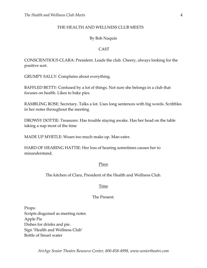#### THE HEALTH AND WELLNESS CLUB MEETS

#### By Bob Naquin

#### **CAST**

CONSCIENTIOUS CLARA: President. Leads the club. Cheery, always looking for the positive sort.

GRUMPY SALLY: Complains about everything.

BAFFLED BETTY: Confused by a lot of things. Not sure she belongs in a club that focuses on health. Likes to bake pies.

RAMBLING ROSE: Secretary. Talks a lot. Uses long sentences with big words. Scribbles in her notes throughout the meeting

DROWSY DOTTIE: Treasurer. Has trouble staying awake. Has her head on the table taking a nap most of the time

MADE UP MYRTLE: Wears too much make up. Man eater.

HARD OF HEARING HATTIE: Her loss of hearing sometimes causes her to misunderstand.

#### Place

The kitchen of Clara, President of the Health and Wellness Club.

#### Time

#### The Present.

Props: Scripts disguised as meeting notes Apple Pie Dishes for drinks and pie. Sign 'Health and Wellness Club' Bottle of Smart water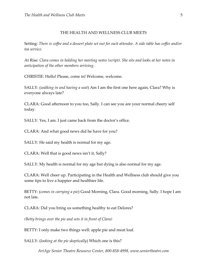#### THE HEALTH AND WELLNESS CLUB MEETS

Setting: There is coffee and a dessert plate set out for each attendee. A side table has coffee and/or *tea service.*

At Rise: *Clara comes in holding her meeting notes (script). She sits and looks at her notes in anticipation of the other members arriving.*

CHRISTIE: Hello! Please, come in! Welcome, welcome.

SALLY: (*walking in and having a seat*) Am I am the first one here again, Clara? Why is everyone always late?

CLARA: Good afternoon to you too, Sally. I can see you are your normal cheery self today.

SALLY: Yes, I am. I just came back from the doctor's office.

CLARA: And what good news did he have for you?

SALLY: He said my health is normal for my age.

CLARA: Well that is good news isn't it, Sally?

SALLY: My health is normal for my age but dying is also normal for my age.

CLARA: Well cheer up. Participating in the Health and Wellness club should give you some tips to live a happier and healthier life.

BETTY: (*comes in carrying a pie*) Good Morning, Clara. Good morning, Sally. I hope I am not late.

CLARA: Did you bring us something healthy to eat Delores?

*(Betty brings over the pie and sets it in front of Clara)*

BETTY: I only make two things well: apple pie and meat loaf.

SALLY: (*looking at the pie skeptically*) Which one is this?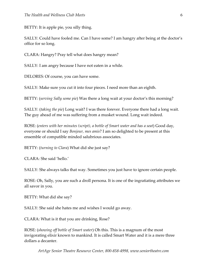BETTY: It is apple pie, you silly thing.

SALLY: Could have fooled me. Can I have some? I am hangry after being at the doctor's office for so long.

CLARA: Hangry? Pray tell what does hangry mean?

SALLY: I am angry because I have not eaten in a while.

DELORES: Of course, you can have some.

SALLY: Make sure you cut it into four pieces. I need more than an eighth.

BETTY: (*serving Sally some pie*) Was there a long wait at your doctor's this morning?

SALLY: (*taking the pie*) Long wait? I was there forever. Everyone there had a long wait. The guy ahead of me was suffering from a musket wound. Long wait indeed.

ROSE: (*enters with her minutes (script), a bottle of Smart water and has a seat*) Good day, everyone or should I say *Bonjour, mes amis*? I am so delighted to be present at this ensemble of compatible minded salubrious associates.

BETTY: (*turning to Clara*) What did she just say?

CLARA: She said 'hello.'

SALLY: She always talks that way. Sometimes you just have to ignore certain people.

ROSE: Oh, Sally, you are such a droll persona. It is one of the ingratiating attributes we all savor in you.

BETTY: What did she say?

SALLY: She said she hates me and wishes I would go away.

CLARA: What is it that you are drinking, Rose?

ROSE: (*showing off bottle of Smart water*) Oh this. This is a magnum of the most invigorating elixir known to mankind. It is called Smart Water and it is a mere three dollars a decanter.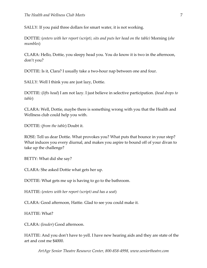SALLY: If you paid three dollars for smart water, it is not working.

DOTTIE: (*enters with her report (script), sits and puts her head on the table)* Morning (*she mumbles*)

CLARA: Hello, Dottie, you sleepy head you. You do know it is two in the afternoon, don't you?

DOTTIE: Is it, Clara? I usually take a two-hour nap between one and four.

SALLY: Well I think you are just lazy, Dottie.

DOTTIE: (*lifts head*) I am not lazy. I just believe in selective participation. (*head drops to table*)

CLARA: Well, Dottie, maybe there is something wrong with you that the Health and Wellness club could help you with.

DOTTIE: (*from the table*) Doubt it.

ROSE: Tell us dear Dottie. What provokes you? What puts that bounce in your step? What induces you every diurnal, and makes you aspire to bound off of your divan to take up the challenge?

BETTY: What did she say?

CLARA: She asked Dottie what gets her up.

DOTTIE: What gets me up is having to go to the bathroom.

HATTIE: (*enters with her report (script) and has a seat*)

CLARA: Good afternoon, Hattie. Glad to see you could make it.

HATTIE: What?

CLARA: (*louder*) Good afternoon.

HATTIE: And you don't have to yell. I have new hearing aids and they are state of the art and cost me \$4000.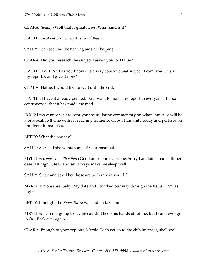CLARA: (*loudly*) Well that is great news. What kind is it?

HATTIE: (*looks at her watch*) It is two fifteen.

SALLY: I can see that the hearing aids are helping.

CLARA: Did you research the subject I asked you to, Hattie?

HATTIE: I did. And as you know it is a very controversial subject. I can't wait to give my report. Can I give it now?

CLARA: Hattie, I would like to wait until the end.

HATTIE: I have it already penned. But I want to make my report to everyone. It is so controversial that it has made me mad.

ROSE: I too cannot wait to hear your scintillating commentary on what I am sure will be a provocative theme with far reaching influence on our humanity today and perhaps on imminent humanities.

BETTY: What did she say?

SALLY: She said she wants some of your meatloaf.

MYRTLE: (*comes in with a flair*) Good afternoon everyone. Sorry I am late. I had a dinner date last night. Steak and sex always make me sleep well.

SALLY: Steak and sex. I bet those are both rare in your life.

MYRTLE: Nonsense, Sally. My date and I worked our way through the *Kama Sutra* last night.

BETTY: I thought the *Kama Sutra* was Indian take out.

MRYTLE: I am not going to say he couldn't keep his hands off of me, but I can't ever go to Out Back ever again.

CLARA: Enough of your exploits, Myrtle. Let's get on to the club business, shall we?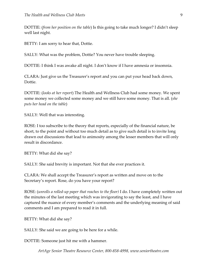DOTTIE: (*from her position on the table*) Is this going to take much longer? I didn't sleep well last night.

BETTY: I am sorry to hear that, Dottie.

SALLY: What was the problem, Dottie? You never have trouble sleeping.

DOTTIE: I think I was awake all night. I don't know if I have amnesia or insomnia.

CLARA: Just give us the Treasurer's report and you can put your head back down, Dottie.

DOTTIE: (*looks at her report*) The Health and Wellness Club had some money. We spent some money we collected some money and we still have some money. That is all. (*she puts her head on the table*)

SALLY: Well that was interesting.

ROSE: I too subscribe to the theory that reports, especially of the financial nature, be short, to the point and without too much detail as to give such detail is to invite long drawn out discussions that lead to animosity among the lesser members that will only result in discordance.

BETTY: What did she say?

SALLY: She said brevity is important. Not that she ever practices it.

CLARA: We shall accept the Treasurer's report as written and move on to the Secretary's report. Rose, do you have your report?

ROSE: (*unrolls a rolled-up paper that reaches to the floor)* I do. I have completely written out the minutes of the last meeting which was invigorating to say the least, and I have captured the nuance of every member's comments and the underlying meaning of said comments and I am prepared to read it in full.

BETTY: What did she say?

SALLY: She said we are going to be here for a while.

DOTTIE: Someone just hit me with a hammer.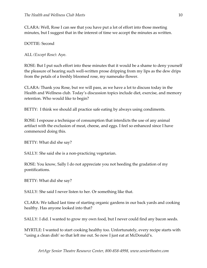CLARA: Well, Rose I can see that you have put a lot of effort into those meeting minutes, but I suggest that in the interest of time we accept the minutes as written.

DOTTIE: Second

ALL *(Except Rose)*: Aye.

ROSE: But I put such effort into these minutes that it would be a shame to deny yourself the pleasure of hearing such well-written prose dripping from my lips as the dew drips from the petals of a freshly bloomed rose, my namesake flower.

CLARA: Thank you Rose, but we will pass, as we have a lot to discuss today in the Health and Wellness club. Today's discussion topics include diet, exercise, and memory retention. Who would like to begin?

BETTY: I think we should all practice safe eating by always using condiments.

ROSE: I espouse a technique of consumption that interdicts the use of any animal artifact with the exclusion of meat, cheese, and eggs. I feel so enhanced since I have commenced doing this.

BETTY: What did she say?

SALLY: She said she is a non-practicing vegetarian.

ROSE: You know, Sally I do not appreciate you not heeding the gradation of my pontifications.

BETTY: What did she say?

SALLY: She said I never listen to her. Or something like that.

CLARA: We talked last time of starting organic gardens in our back yards and cooking healthy. Has anyone looked into that?

SALLY: I did. I wanted to grow my own food, but I never could find any bacon seeds.

MYRTLE: I wanted to start cooking healthy too. Unfortunately, every recipe starts with "using a clean dish' so that left me out. So now I just eat at McDonald's.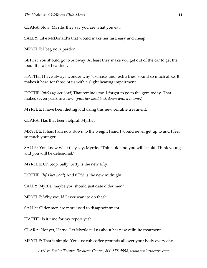CLARA: Now, Myrtle, they say you are what you eat.

SALLY: Like McDonald's that would make her fast, easy and cheap.

MRYTLE: I beg your pardon.

BETTY: You should go to Subway. At least they make you get out of the car to get the food. It is a lot healthier.

HATTIE: I have always wonder why 'exercise' and 'extra fries' sound so much alike. It makes it hard for those of us with a slight hearing impairment.

DOTTIE: (*picks up her head*) That reminds me. I forgot to go to the gym today. That makes seven years in a row. (*puts her head back down with a thump*.)

MYRTLE: I have been dieting and using this new cellulite treatment.

CLARA: Has that been helpful, Myrtle?

MRYTLE: It has. I am now down to the weight I said I would never get up to and I feel so much younger.

SALLY: You know what they say, Myrtle, "Think old and you will be old. Think young and you will be delusional."

MYRTLE: Oh Stop, Sally. Sixty is the new fifty.

DOTTIE: (*lifts her head*) And 8 PM is the new midnight.

SALLY: Myrtle, maybe you should just date older men?

MRYTLE: Why would I ever want to do that?

SALLY: Older men are more used to disappointment.

HATTIE: Is it time for my report yet?

CLARA: Not yet, Hattie. Let Myrtle tell us about her new cellulite treatment.

MRYTLE: That is simple. You just rub coffee grounds all over your body every day.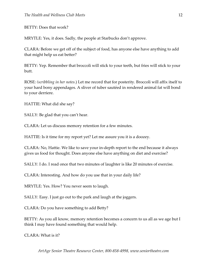BETTY: Does that work?

MRYTLE: Yes, it does. Sadly, the people at Starbucks don't approve.

CLARA: Before we get off of the subject of food, has anyone else have anything to add that might help us eat better?

BETTY: Yep. Remember that broccoli will stick to your teeth, but fries will stick to your butt.

ROSE: *(scribbling in her notes*.) Let me record that for posterity. Broccoli will affix itself to your hard bony appendages. A sliver of tuber sautéed in rendered animal fat will bond to your derriere.

HATTIE: What did she say?

SALLY: Be glad that you can't hear.

CLARA: Let us discuss memory retention for a few minutes.

HATTIE: Is it time for my report yet? Let me assure you it is a doozey.

CLARA: No, Hattie. We like to save your in-depth report to the end because it always gives us food for thought. Does anyone else have anything on diet and exercise?

SALLY: I do. I read once that two minutes of laughter is like 20 minutes of exercise.

CLARA: Interesting. And how do you use that in your daily life?

MRYTLE: Yes. How? You never seem to laugh.

SALLY: Easy. I just go out to the park and laugh at the joggers.

CLARA: Do you have something to add Betty?

BETTY: As you all know, memory retention becomes a concern to us all as we age but I think I may have found something that would help.

CLARA: What is it?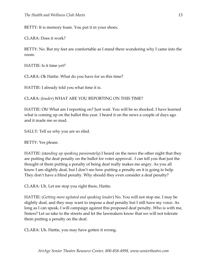BETTY: It is memory foam. You put it in your shoes.

CLARA: Does it work?

BETTY: No. But my feet are comfortable as I stand there wondering why I came into the room.

HATTIE: Is it time yet?

CLARA: Ok Hattie. What do you have for us this time?

HATTIE: I already told you what time it is.

CLARA: (*louder*) WHAT ARE YOU REPORTING ON THIS TIME?

HATTIE: Oh! What am I reporting on? Just wait. You will be so shocked. I have learned what is coming up on the ballot this year. I heard it on the news a couple of days ago and it made me so mad.

SALLY: Tell us why you are so riled.

BETTY: Yes please.

HATTIE: (st*anding up speaking passionately*) I heard on the news the other night that they are putting the deaf penalty on the ballot for voter approval. I can tell you that just the thought of them putting a penalty of being deaf really makes me angry. As you all know I am slightly deaf, but I don't see how putting a penalty on it is going to help. They don't have a blind penalty. Why should they even consider a deaf penalty?

CLARA: Uh. Let me stop you right there, Hattie.

HATTIE: (*Getting more agitated and speaking louder*) No. You will not stop me. I may be slightly deaf, and they may want to impose a deaf penalty but I still have my voice. As long as I can speak, I will campaign against this proposed deaf penalty. Who is with me, Sisters? Let us take to the streets and let the lawmakers know that we will not tolerate them putting a penalty on the deaf.

CLARA: Uh. Hattie, you may have gotten it wrong.